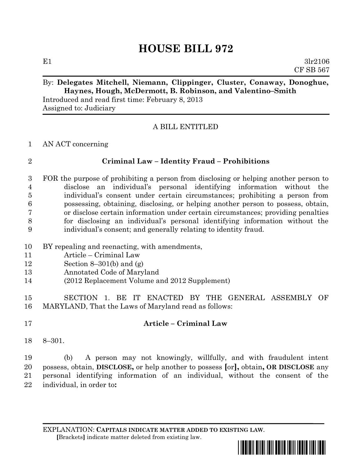# **HOUSE BILL 972**

E1  $3lr2106$ CF SB 567

## By: **Delegates Mitchell, Niemann, Clippinger, Cluster, Conaway, Donoghue, Haynes, Hough, McDermott, B. Robinson, and Valentino–Smith**

Introduced and read first time: February 8, 2013 Assigned to: Judiciary

### A BILL ENTITLED

#### AN ACT concerning

### **Criminal Law – Identity Fraud – Prohibitions**

 FOR the purpose of prohibiting a person from disclosing or helping another person to disclose an individual's personal identifying information without the individual's consent under certain circumstances; prohibiting a person from possessing, obtaining, disclosing, or helping another person to possess, obtain, or disclose certain information under certain circumstances; providing penalties for disclosing an individual's personal identifying information without the individual's consent; and generally relating to identity fraud.

- BY repealing and reenacting, with amendments,
- Article Criminal Law
- 12 Section 8–301(b) and  $(g)$
- Annotated Code of Maryland
- (2012 Replacement Volume and 2012 Supplement)

 SECTION 1. BE IT ENACTED BY THE GENERAL ASSEMBLY OF MARYLAND, That the Laws of Maryland read as follows:

- **Article – Criminal Law**
- 8–301.

 (b) A person may not knowingly, willfully, and with fraudulent intent possess, obtain, **DISCLOSE,** or help another to possess **[**or**],** obtain**, OR DISCLOSE** any personal identifying information of an individual, without the consent of the individual, in order to**:**

EXPLANATION: **CAPITALS INDICATE MATTER ADDED TO EXISTING LAW**.  **[**Brackets**]** indicate matter deleted from existing law.